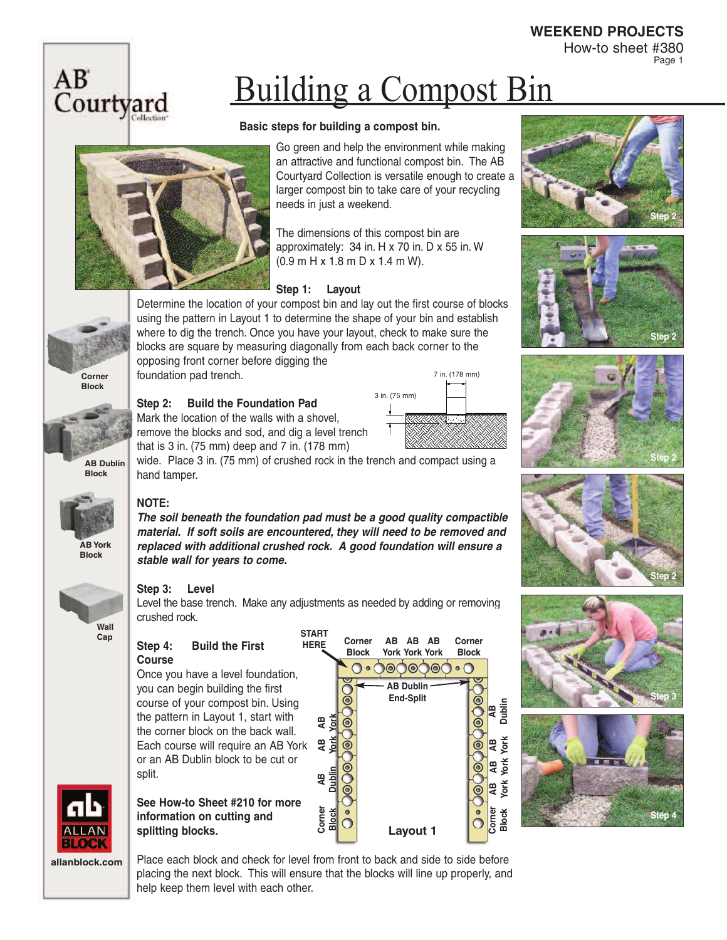How-to sheet #380 Page 1



## Building a Compost Bin

### **Basic steps for building a compost bin.**



Go green and help the environment while making an attractive and functional compost bin. The AB Courtyard Collection is versatile enough to create a larger compost bin to take care of your recycling needs in just a weekend.

The dimensions of this compost bin are approximately: 34 in. H x 70 in. D x 55 in. W (0.9 m H x 1.8 m D x 1.4 m W).

### **Step 1: Layout**

Determine the location of your compost bin and lay out the first course of blocks using the pattern in Layout 1 to determine the shape of your bin and establish where to dig the trench. Once you have your layout, check to make sure the blocks are square by measuring diagonally from each back corner to the opposing front corner before digging the

foundation pad trench.

**Step 2: Build the Foundation Pad**

Mark the location of the walls with a shovel, remove the blocks and sod, and dig a level trench that is 3 in. (75 mm) deep and 7 in. (178 mm)



**Step 2**











**Cap**



**allanblock.com**

Place each block and check for level from front to back and side to side before placing the next block. This will ensure that the blocks will line up properly, and help keep them level with each other.

**Corner**

hand tamper. **NOTE: Block**

**AB Dublin** 

**Corner Block**

**AB York Block**



### **Step 3: Level**

Level the base trench. Make any adjustments as needed by adding or removing crushed rock.

**START**

**Corner**

wide. Place 3 in. (75 mm) of crushed rock in the trench and compact using a

*The soil beneath the foundation pad must be a good quality compactible material. If soft soils are encountered, they will need to be removed and replaced with additional crushed rock. A good foundation will ensure a*

#### **Step 4: Build the First Course**

*stable wall for years to come.*

Once you have a level foundation, you can begin building the first course of your compost bin. Using the pattern in Layout 1, start with the corner block on the back wall. Each course will require an AB York or an AB Dublin block to be cut or split.

**See How-to Sheet #210 for more information on cutting and splitting blocks.** 

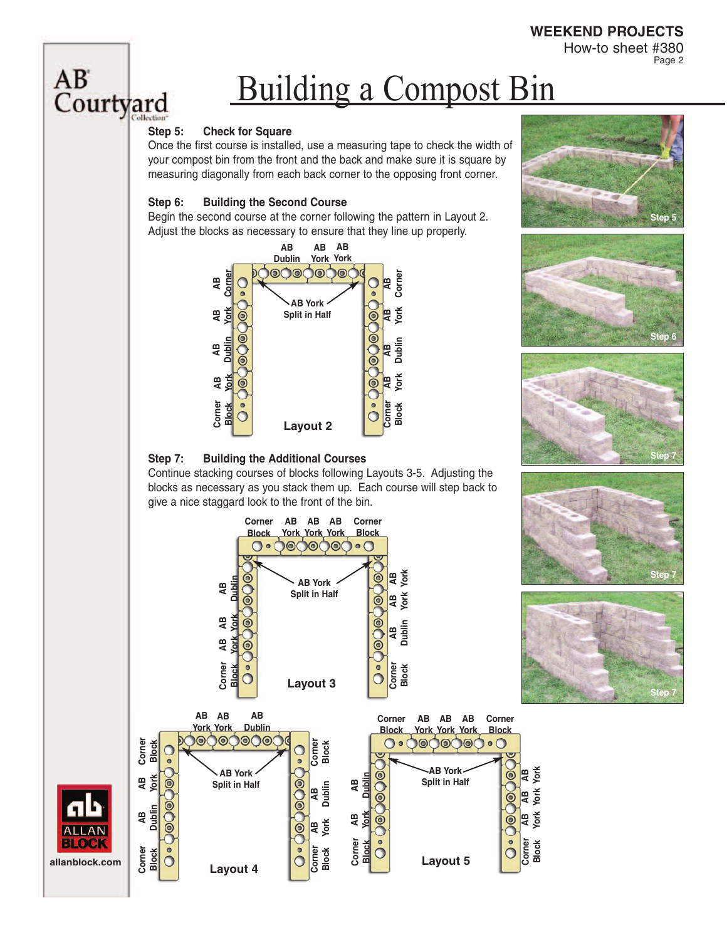How-to sheet #380 Page 2

# AB<br>Courtyard

# Building a Compost Bin

### **Step 5: Check for Square**

Once the first course is installed, use a measuring tape to check the width of your compost bin from the front and the back and make sure it is square by measuring diagonally from each back corner to the opposing front corner.

### **Step 6: Building the Second Course**

Begin the second course at the corner following the pattern in Layout 2. Adjust the blocks as necessary to ensure that they line up properly.



### **Step 7: Building the Additional Courses**

Continue stacking courses of blocks following Layouts 3-5. Adjusting the blocks as necessary as you stack them up. Each course will step back to give a nice staggard look to the front of the bin.











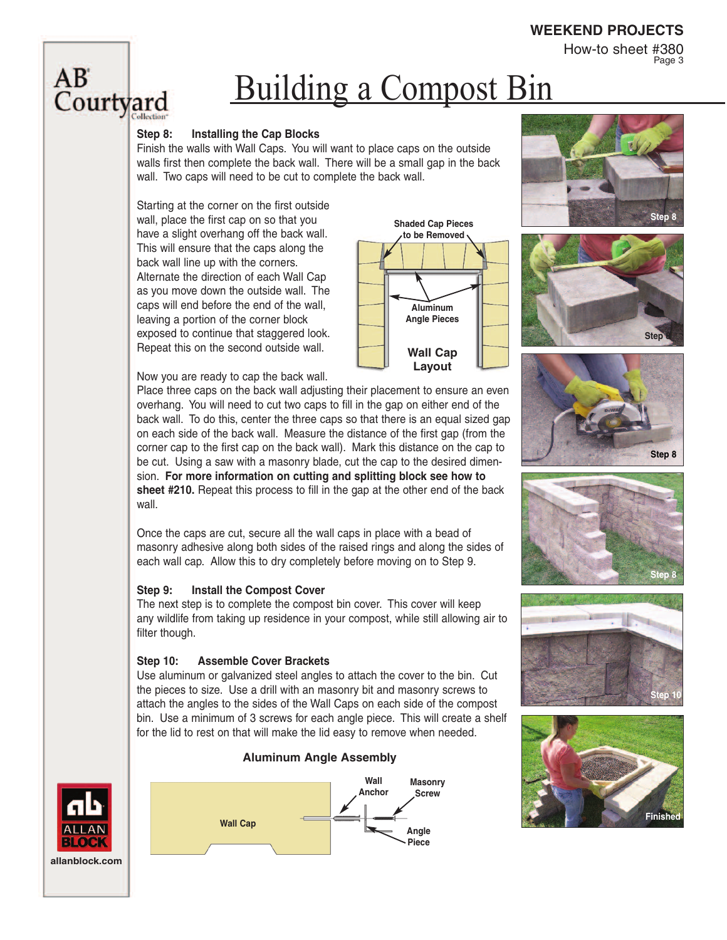How-to sheet #380 Page 3

### $AB^{\circ}$ Courtyard

### Building a Compost Bin

**Wall Cap Layout**

**Aluminum Angle Pieces**

**Shaded Cap Pieces to be Removed**

#### **Step 8: Installing the Cap Blocks**

Finish the walls with Wall Caps. You will want to place caps on the outside walls first then complete the back wall. There will be a small gap in the back wall. Two caps will need to be cut to complete the back wall.

Starting at the corner on the first outside wall, place the first cap on so that you have a slight overhang off the back wall. This will ensure that the caps along the back wall line up with the corners. Alternate the direction of each Wall Cap as you move down the outside wall. The caps will end before the end of the wall, leaving a portion of the corner block exposed to continue that staggered look. Repeat this on the second outside wall.



Place three caps on the back wall adjusting their placement to ensure an even overhang. You will need to cut two caps to fill in the gap on either end of the back wall. To do this, center the three caps so that there is an equal sized gap on each side of the back wall. Measure the distance of the first gap (from the corner cap to the first cap on the back wall). Mark this distance on the cap to be cut. Using a saw with a masonry blade, cut the cap to the desired dimension. **For more information on cutting and splitting block see how to sheet #210.** Repeat this process to fill in the gap at the other end of the back wall.

Once the caps are cut, secure all the wall caps in place with a bead of masonry adhesive along both sides of the raised rings and along the sides of each wall cap. Allow this to dry completely before moving on to Step 9.

### **Step 9: Install the Compost Cover**

The next step is to complete the compost bin cover. This cover will keep any wildlife from taking up residence in your compost, while still allowing air to filter though.

#### **Step 10: Assemble Cover Brackets**

Use aluminum or galvanized steel angles to attach the cover to the bin. Cut the pieces to size. Use a drill with an masonry bit and masonry screws to attach the angles to the sides of the Wall Caps on each side of the compost bin. Use a minimum of 3 screws for each angle piece. This will create a shelf for the lid to rest on that will make the lid easy to remove when needed.

**Aluminum Angle Assembly**

















**allanblock.com**